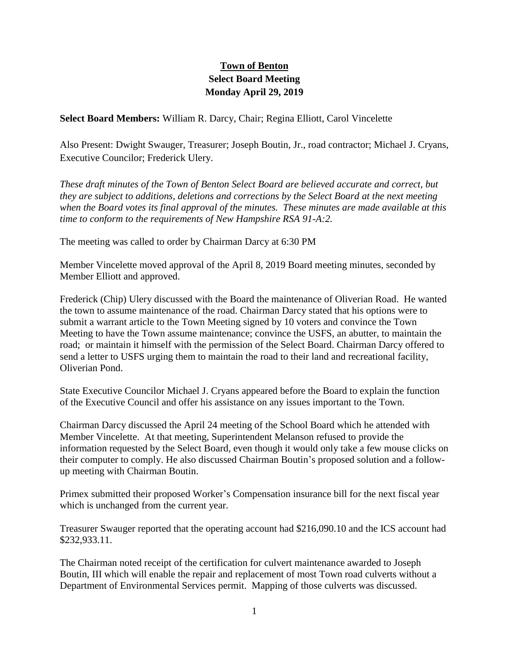## **Town of Benton Select Board Meeting Monday April 29, 2019**

**Select Board Members:** William R. Darcy, Chair; Regina Elliott, Carol Vincelette

Also Present: Dwight Swauger, Treasurer; Joseph Boutin, Jr., road contractor; Michael J. Cryans, Executive Councilor; Frederick Ulery.

*These draft minutes of the Town of Benton Select Board are believed accurate and correct, but they are subject to additions, deletions and corrections by the Select Board at the next meeting when the Board votes its final approval of the minutes. These minutes are made available at this time to conform to the requirements of New Hampshire RSA 91-A:2.*

The meeting was called to order by Chairman Darcy at 6:30 PM

Member Vincelette moved approval of the April 8, 2019 Board meeting minutes, seconded by Member Elliott and approved.

Frederick (Chip) Ulery discussed with the Board the maintenance of Oliverian Road. He wanted the town to assume maintenance of the road. Chairman Darcy stated that his options were to submit a warrant article to the Town Meeting signed by 10 voters and convince the Town Meeting to have the Town assume maintenance; convince the USFS, an abutter, to maintain the road; or maintain it himself with the permission of the Select Board. Chairman Darcy offered to send a letter to USFS urging them to maintain the road to their land and recreational facility, Oliverian Pond.

State Executive Councilor Michael J. Cryans appeared before the Board to explain the function of the Executive Council and offer his assistance on any issues important to the Town.

Chairman Darcy discussed the April 24 meeting of the School Board which he attended with Member Vincelette. At that meeting, Superintendent Melanson refused to provide the information requested by the Select Board, even though it would only take a few mouse clicks on their computer to comply. He also discussed Chairman Boutin's proposed solution and a followup meeting with Chairman Boutin.

Primex submitted their proposed Worker's Compensation insurance bill for the next fiscal year which is unchanged from the current year.

Treasurer Swauger reported that the operating account had \$216,090.10 and the ICS account had \$232,933.11.

The Chairman noted receipt of the certification for culvert maintenance awarded to Joseph Boutin, III which will enable the repair and replacement of most Town road culverts without a Department of Environmental Services permit. Mapping of those culverts was discussed.